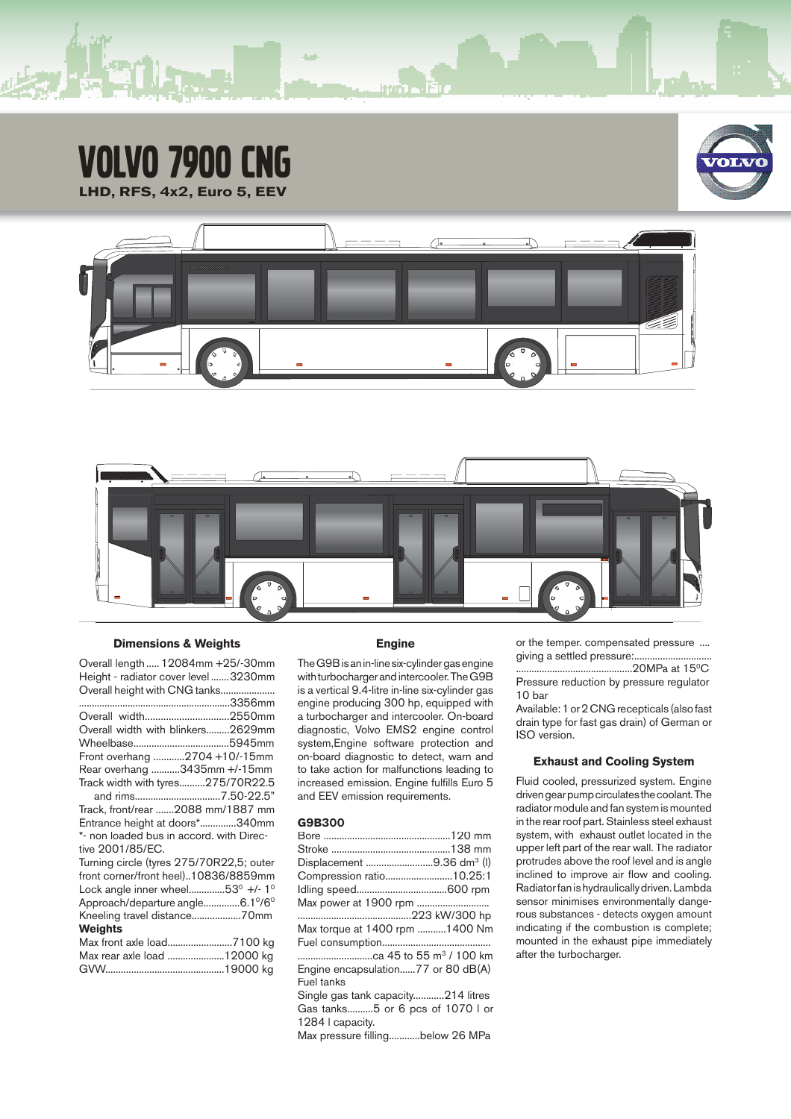# VOLVO 7900 CNG **LHD, RFS, 4x2, Euro 5, EEV**







## **Dimensions & Weights**

Overall length ..... 12084mm +25/-30mm Height - radiator cover level .......3230mm Overall height with CNG tanks.....................

| Overall width2550mm                      |
|------------------------------------------|
| Overall width with blinkers2629mm        |
|                                          |
| Front overhang 2704 +10/-15mm            |
| Rear overhang 3435mm +/-15mm             |
| Track width with tyres275/70R22.5        |
| and rims7.50-22.5"                       |
| Track, front/rear 2088 mm/1887 mm        |
| Entrance height at doors*340mm           |
| *- non loaded bus in accord, with Direc- |
| tive 2001/85/EC.                         |
| Turning circle (tyres 275/70R22,5; outer |
| front corner/front heel)10836/8859mm     |
| Lock angle inner wheel53° +/- 1°         |
| Approach/departure angle6.1º/6º          |
| Kneeling travel distance70mm             |
| <b>Weights</b>                           |
| Max front axle load7100 kg               |
| Max rear axle load 12000 kg              |
|                                          |

#### **Engine**

The G9B is an in-line six-cylinder gas engine with turbocharger and intercooler. The G9B is a vertical 9.4-litre in-line six-cylinder gas engine producing 300 hp, equipped with a turbocharger and intercooler. On-board diagnostic, Volvo EMS2 engine control system,Engine software protection and on-board diagnostic to detect, warn and to take action for malfunctions leading to increased emission. Engine fulfills Euro 5 and EEV emission requirements.

## **G9B300**

| Displacement 9.36 dm <sup>3</sup> (l) |  |
|---------------------------------------|--|
| Compression ratio10.25:1              |  |
|                                       |  |
|                                       |  |
|                                       |  |
| Max torque at 1400 rpm 1400 Nm        |  |
|                                       |  |
| ca 45 to 55 m <sup>3</sup> / 100 km   |  |
| Engine encapsulation77 or 80 dB(A)    |  |
| Fuel tanks                            |  |
| Single gas tank capacity214 litres    |  |
| Gas tanks5 or 6 pcs of 1070 I or      |  |
| 1284   capacity.                      |  |
| Max pressure fillingbelow 26 MPa      |  |

or the temper. compensated pressure .... giving a settled pressure:........................

.............................................20MPa at 150C Pressure reduction by pressure regulator 10 bar

Available: 1 or 2 CNG recepticals (also fast drain type for fast gas drain) of German or ISO version.

## **Exhaust and Cooling System**

Fluid cooled, pressurized system. Engine driven gear pump circulates the coolant. The radiator module and fan system is mounted in the rear roof part. Stainless steel exhaust system, with exhaust outlet located in the upper left part of the rear wall. The radiator protrudes above the roof level and is angle inclined to improve air flow and cooling. Radiator fan is hydraulically driven. Lambda sensor minimises environmentally dangerous substances - detects oxygen amount indicating if the combustion is complete; mounted in the exhaust pipe immediately after the turbocharger.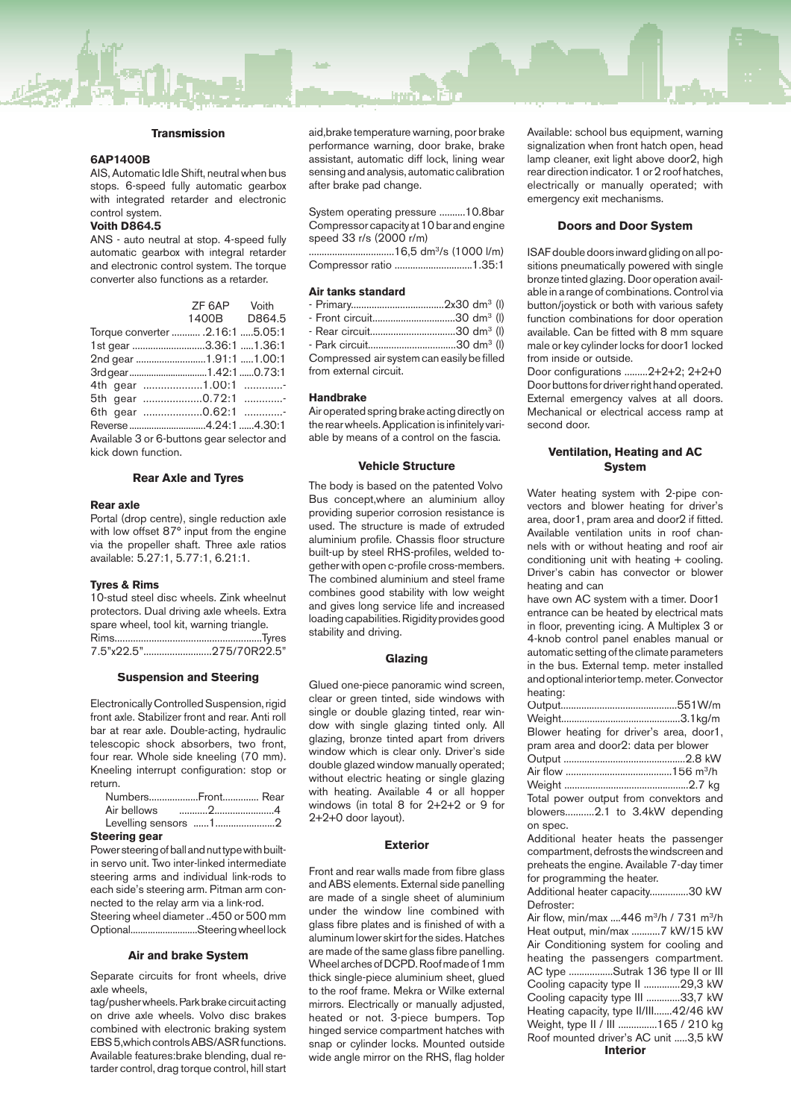#### **Transmission**

#### **6AP1400B**

AIS, Automatic Idle Shift, neutral when bus stops. 6-speed fully automatic gearbox with integrated retarder and electronic control system.

## **Voith D864.5**

ANS - auto neutral at stop. 4-speed fully automatic gearbox with integral retarder and electronic control system. The torque converter also functions as a retarder.

|                                            | ZF 6AP Voith |  |
|--------------------------------------------|--------------|--|
|                                            | 1400B D864.5 |  |
| Torque converter  .2.16:1 5.05:1           |              |  |
| 1st gear 3.36:1  1.36:1                    |              |  |
| 2nd gear 1.91:1 1.00:1                     |              |  |
| 3rdgear1.42:10.73:1                        |              |  |
|                                            |              |  |
| 5th gear 0.72:1                            |              |  |
| 6th gear 0.62:1                            |              |  |
| Reverse4.24:14.30:1                        |              |  |
| Available 3 or 6-buttons gear selector and |              |  |
| kick down function.                        |              |  |

### **Rear Axle and Tyres**

#### **Rear axle**

Portal (drop centre), single reduction axle with low offset 87° input from the engine via the propeller shaft. Three axle ratios available: 5.27:1, 5.77:1, 6.21:1.

#### **Tyres & Rims**

10-stud steel disc wheels. Zink wheelnut protectors. Dual driving axle wheels. Extra spare wheel, tool kit, warning triangle. Rims........................................................Tyres 7.5"x22.5"..........................275/70R22.5"

#### **Suspension and Steering**

Electronically Controlled Suspension, rigid front axle. Stabilizer front and rear. Anti roll bar at rear axle. Double-acting, hydraulic telescopic shock absorbers, two front, four rear. Whole side kneeling (70 mm). Kneeling interrupt configuration: stop or return.

| NumbersFront Rear |  |
|-------------------|--|
|                   |  |
|                   |  |
|                   |  |

**Steering gear**

Power steering of ball and nut type with builtin servo unit. Two inter-linked intermediate steering arms and individual link-rods to each side's steering arm. Pitman arm connected to the relay arm via a link-rod. Steering wheel diameter ..450 or 500 mm

Optional...........................Steering wheel lock

#### **Air and brake System**

Separate circuits for front wheels, drive axle wheels,

tag/pusher wheels. Parkbrake circuit acting on drive axle wheels. Volvo disc brakes combined with electronic braking system EBS 5,which controls ABS/ASR functions. Available features:brake blending, dual retarder control, drag torque control, hill start aid,brake temperature warning, poor brake performance warning, door brake, brake assistant, automatic diff lock, lining wear sensing and analysis, automatic calibration after brake pad change.

System operating pressure ..........10.8bar Compressor capacity at 10 bar and engine speed 33 r/s (2000 r/m)

.................................16,5 dm3/s (1000 l/m) Compressor ratio ..............................1.35:1

#### **Air tanks standard**

| - Front circuit30 dm <sup>3</sup> (l)      |  |
|--------------------------------------------|--|
| - Rear circuit30 dm <sup>3</sup> (l)       |  |
| - Park circuit30 dm <sup>3</sup> (l)       |  |
| Compressed air system can easily be filled |  |
| from external circuit.                     |  |

## **Handbrake**

Air operated spring brake acting directly on the rear wheels. Application is infinitely variable by means of a control on the fascia.

#### **Vehicle Structure**

The body is based on the patented Volvo Bus concept,where an aluminium alloy providing superior corrosion resistance is used. The structure is made of extruded aluminium profile. Chassis floor structure built-up by steel RHS-profiles, welded together with open c-profile cross-members. The combined aluminium and steel frame combines good stability with low weight and gives long service life and increased loading capabilities. Rigidity provides good stability and driving.

## **Glazing**

Glued one-piece panoramic wind screen, clear or green tinted, side windows with single or double glazing tinted, rear window with single glazing tinted only. All glazing, bronze tinted apart from drivers window which is clear only. Driver's side double glazed window manually operated; without electric heating or single glazing with heating. Available 4 or all hopper windows (in total 8 for 2+2+2 or 9 for 2+2+0 door layout).

### **Exterior**

Front and rear walls made from fibre glass and ABS elements. External side panelling are made of a single sheet of aluminium under the window line combined with glass fibre plates and is finished of with a aluminum lower skirt for the sides. Hatches are made of the same glass fibre panelling. Wheel arches of DCPD. Roof made of 1mm thick single-piece aluminium sheet, glued to the roof frame. Mekra or Wilke external mirrors. Electrically or manually adjusted, heated or not. 3-piece bumpers. Top hinged service compartment hatches with snap or cylinder locks. Mounted outside wide angle mirror on the RHS, flag holder Available: school bus equipment, warning signalization when front hatch open, head lamp cleaner, exit light above door2, high rear direction indicator. 1 or 2 roof hatches, electrically or manually operated; with emergency exit mechanisms.

#### **Doors and Door System**

ISAF double doors inward gliding on all positions pneumatically powered with single bronze tinted glazing. Door operation available in a range of combinations. Control via button/joystick or both with various safety function combinations for door operation available. Can be fitted with 8 mm square male or key cylinder locks for door1 locked from inside or outside.

Door configurations .........2+2+2; 2+2+0 Door buttons for driver right hand operated. External emergency valves at all doors. Mechanical or electrical access ramp at second door.

## **Ventilation, Heating and AC System**

Water heating system with 2-pipe convectors and blower heating for driver's area, door1, pram area and door2 if fitted. Available ventilation units in roof channels with or without heating and roof air conditioning unit with heating + cooling. Driver's cabin has convector or blower heating and can

have own AC system with a timer. Door1 entrance can be heated by electrical mats in floor, preventing icing. A Multiplex 3 or 4-knob control panel enables manual or automatic setting of the climate parameters in the bus. External temp. meter installed and optional interior temp. meter. Convector heating:

|         | Blower heating for driver's area, door1, |
|---------|------------------------------------------|
|         | pram area and door2: data per blower     |
|         |                                          |
|         |                                          |
|         |                                          |
|         | Total power output from convektors and   |
|         | blowers2.1 to 3.4kW depending            |
| on spec |                                          |

Additional heater heats the passenger compartment, defrosts the windscreen and preheats the engine. Available 7-day timer for programming the heater.

Additional heater capacity...............30 kW Defroster:

Air flow, min/max  $\dots$ 446 m<sup>3</sup>/h / 731 m<sup>3</sup>/h Heat output, min/max ...........7 kW/15 kW Air Conditioning system for cooling and heating the passengers compartment. AC type .................Sutrak 136 type II or III Cooling capacity type II ..............29,3 kW Cooling capacity type III .............33,7 kW Heating capacity, type II/III.......42/46 kW Weight, type II / III ...............165 / 210 kg Roof mounted driver's AC unit .....3,5 kW **Interior**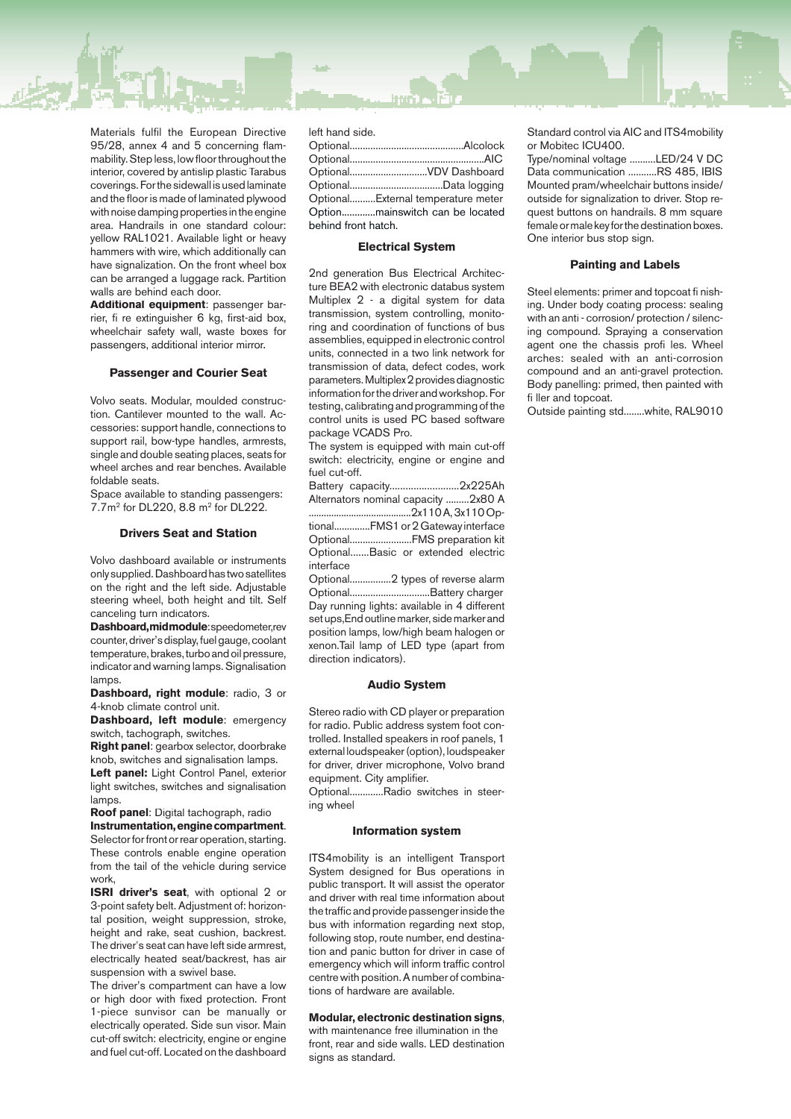Materials fulfil the European Directive 95/28, annex 4 and 5 concerning flammability. Step less, low floor throughout the interior, covered by antislip plastic Tarabus coverings. For the sidewall is used laminate and the floor is made of laminated plywood with noise damping properties in the engine area. Handrails in one standard colour: yellow RAL1021. Available light or heavy hammers with wire, which additionally can have signalization. On the front wheel box can be arranged a luggage rack. Partition walls are behind each door.

**Additional equipment**: passenger barrier, fi re extinguisher 6 kg, first-aid box, wheelchair safety wall, waste boxes for passengers, additional interior mirror.

## **Passenger and Courier Seat**

Volvo seats. Modular, moulded construction. Cantilever mounted to the wall. Accessories: support handle, connections to support rail, bow-type handles, armrests, single and double seating places, seats for wheel arches and rear benches. Available foldable seats.

Space available to standing passengers: 7.7m2 for DL220, 8.8 m2 for DL222.

## **Drivers Seat and Station**

Volvo dashboard available or instruments only supplied. Dashboard has two satellites on the right and the left side. Adjustable steering wheel, both height and tilt. Self canceling turn indicators.

**Dashboard, mid module**: speedometer,rev counter, driver's display, fuel gauge, coolant temperature, brakes, turbo and oil pressure, indicator and warning lamps. Signalisation lamps

**Dashboard, right module**: radio, 3 or 4-knob climate control unit.

**Dashboard, left module**: emergency switch, tachograph, switches.

**Right panel**: gearbox selector, doorbrake knob, switches and signalisation lamps.

**Left panel:** Light Control Panel, exterior light switches, switches and signalisation lamps

**Roof panel**: Digital tachograph, radio **Instrumentation, engine compartment**. Selector for front or rear operation, starting. These controls enable engine operation from the tail of the vehicle during service work,

**ISRI driver's seat**, with optional 2 or 3-point safety belt. Adjustment of: horizontal position, weight suppression, stroke, height and rake, seat cushion, backrest. The driver's seat can have left side armrest, electrically heated seat/backrest, has air suspension with a swivel base.

The driver's compartment can have a low or high door with fixed protection. Front 1-piece sunvisor can be manually or electrically operated. Side sun visor. Main cut-off switch: electricity, engine or engine and fuel cut-off. Located on the dashboard

left hand side.

| OptionalVDV Dashboard              |  |
|------------------------------------|--|
|                                    |  |
| OptionalExternal temperature meter |  |
| Optionmainswitch can be located    |  |
| behind front hatch.                |  |

## **Electrical System**

2nd generation Bus Electrical Architecture BEA2 with electronic databus system Multiplex 2 - a digital system for data transmission, system controlling, monitoring and coordination of functions of bus assemblies, equipped in electronic control units, connected in a two link network for transmission of data, defect codes, work parameters. Multiplex 2 provides diagnostic information for the driver and workshop. For testing, calibrating and programming of the control units is used PC based software package VCADS Pro.

The system is equipped with main cut-off switch: electricity, engine or engine and fuel cut-off.

Battery capacity..........................2x225Ah Alternators nominal capacity .........2x80 A .........................................2x110 A, 3x110Optional..............FMS1 or 2Gateway interface Optional........................FMS preparation kit Optional.......Basic or extended electric interface

Optional................2 types of reverse alarm Optional...............................Battery charger Day running lights: available in 4 different set ups,End outline marker, side marker and position lamps, low/high beam halogen or xenon.Tail lamp of LED type (apart from direction indicators).

#### **Audio System**

Stereo radio with CD player or preparation for radio. Public address system foot controlled. Installed speakers in roof panels, 1 external loudspeaker (option), loudspeaker for driver, driver microphone, Volvo brand equipment. City amplifier.

Optional.............Radio switches in steering wheel

#### **Information system Information**

ITS4 mobility is an intelligent Transport System designed for Bus operations in public transport. It will assist the operator and driver with real time information about the traffic and provide passenger inside the bus with information regarding next stop, following stop, route number, end destination and panic button for driver in case of emergency which will inform traffic control centre with position. A number of combinations of hardware are available.

## **Modular, electronic destination signs**,

with maintenance free illumination in the front, rear and side walls. LED destination signs as standard.

Standard control via AIC and ITS4mobility or Mobitec ICU400.

Type/nominal voltage ..........LED/24 V DC Data communication ...........RS 485, IBIS Mounted pram/wheelchair buttons inside/ outside for signalization to driver. Stop request buttons on handrails. 8 mm square female or male key for the destination boxes. One interior bus stop sign.

## **Painting and Labels**

Steel elements: primer and topcoat fi nishing. Under body coating process: sealing with an anti - corrosion/ protection / silencing compound. Spraying a conservation agent one the chassis profi les. Wheel arches: sealed with an anti-corrosion compound and an anti-gravel protection. Body panelling: primed, then painted with fi ller and topcoat.

Outside painting std........white, RAL9010